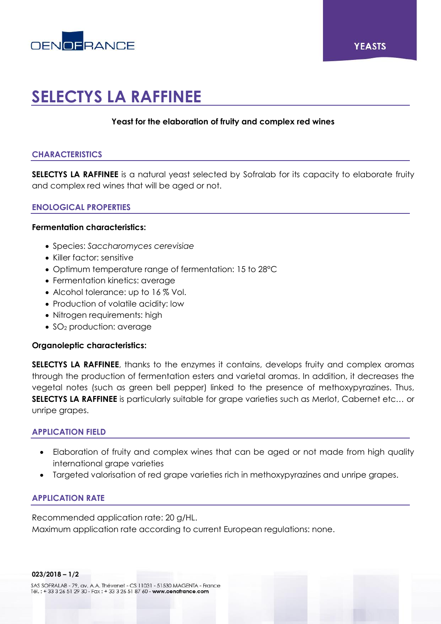

# **SELECTYS LA RAFFINEE**

# **Yeast for the elaboration of fruity and complex red wines**

#### **CHARACTERISTICS**

**SELECTYS LA RAFFINEE** is a natural yeast selected by Sofralab for its capacity to elaborate fruity and complex red wines that will be aged or not.

## **ENOLOGICAL PROPERTIES**

#### **Fermentation characteristics:**

- Species: *Saccharomyces cerevisiae*
- Killer factor: sensitive
- Optimum temperature range of fermentation: 15 to 28°C
- Fermentation kinetics: average
- Alcohol tolerance: up to 16 % Vol.
- Production of volatile acidity: low
- Nitrogen requirements: high
- SO<sub>2</sub> production: average

## **Organoleptic characteristics:**

**SELECTYS LA RAFFINEE**, thanks to the enzymes it contains, develops fruity and complex aromas through the production of fermentation esters and varietal aromas. In addition, it decreases the vegetal notes (such as green bell pepper) linked to the presence of methoxypyrazines. Thus, **SELECTYS LA RAFFINEE** is particularly suitable for grape varieties such as Merlot, Cabernet etc… or unripe grapes.

## **APPLICATION FIELD**

- Elaboration of fruity and complex wines that can be aged or not made from high quality international grape varieties
- Targeted valorisation of red grape varieties rich in methoxypyrazines and unripe grapes.

## **APPLICATION RATE**

Recommended application rate: 20 g/HL. Maximum application rate according to current European regulations: none.

SAS SOFRALAB - 79, av. A.A. Thévenet - CS 11031 - 51530 MAGENTA - France Tél.: +33 3 26 51 29 30 - Fax: +33 3 26 51 87 60 - www.oenofrance.com